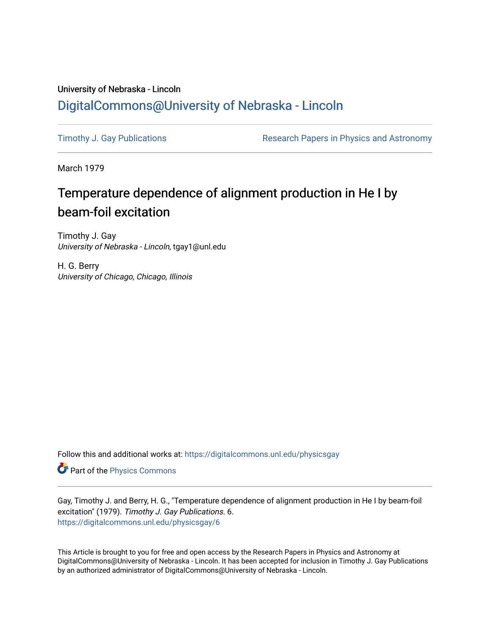## University of Nebraska - Lincoln [DigitalCommons@University of Nebraska - Lincoln](https://digitalcommons.unl.edu/)

[Timothy J. Gay Publications](https://digitalcommons.unl.edu/physicsgay) **Research Papers in Physics and Astronomy** 

March 1979

# Temperature dependence of alignment production in He I by beam-foil excitation

Timothy J. Gay University of Nebraska - Lincoln, tgay1@unl.edu

H. G. Berry University of Chicago, Chicago, Illinois

Follow this and additional works at: [https://digitalcommons.unl.edu/physicsgay](https://digitalcommons.unl.edu/physicsgay?utm_source=digitalcommons.unl.edu%2Fphysicsgay%2F6&utm_medium=PDF&utm_campaign=PDFCoverPages)

Part of the [Physics Commons](http://network.bepress.com/hgg/discipline/193?utm_source=digitalcommons.unl.edu%2Fphysicsgay%2F6&utm_medium=PDF&utm_campaign=PDFCoverPages)

Gay, Timothy J. and Berry, H. G., "Temperature dependence of alignment production in He I by beam-foil excitation" (1979). Timothy J. Gay Publications. 6. [https://digitalcommons.unl.edu/physicsgay/6](https://digitalcommons.unl.edu/physicsgay/6?utm_source=digitalcommons.unl.edu%2Fphysicsgay%2F6&utm_medium=PDF&utm_campaign=PDFCoverPages)

This Article is brought to you for free and open access by the Research Papers in Physics and Astronomy at DigitalCommons@University of Nebraska - Lincoln. It has been accepted for inclusion in Timothy J. Gay Publications by an authorized administrator of DigitalCommons@University of Nebraska - Lincoln.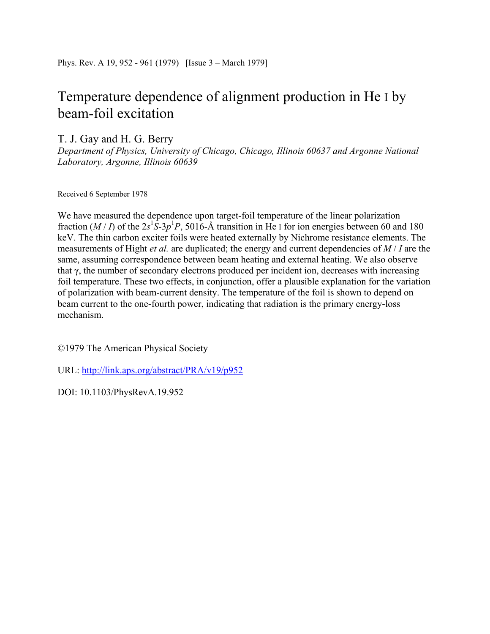## Temperature dependence of alignment production in He I by beam-foil excitation

T. J. Gay and H. G. Berry

*Department of Physics, University of Chicago, Chicago, Illinois 60637 and Argonne National Laboratory, Argonne, Illinois 60639* 

Received 6 September 1978

We have measured the dependence upon target-foil temperature of the linear polarization fraction  $(M/I)$  of the  $2s^1S-3p^1P$ , 5016-Å transition in He I for ion energies between 60 and 180 keV. The thin carbon exciter foils were heated externally by Nichrome resistance elements. The measurements of Hight *et al.* are duplicated; the energy and current dependencies of *M* / *I* are the same, assuming correspondence between beam heating and external heating. We also observe that  $\gamma$ , the number of secondary electrons produced per incident ion, decreases with increasing foil temperature. These two effects, in conjunction, offer a plausible explanation for the variation of polarization with beam-current density. The temperature of the foil is shown to depend on beam current to the one-fourth power, indicating that radiation is the primary energy-loss mechanism.

©1979 The American Physical Society

URL: http://link.aps.org/abstract/PRA/v19/p952

DOI: 10.1103/PhysRevA.19.952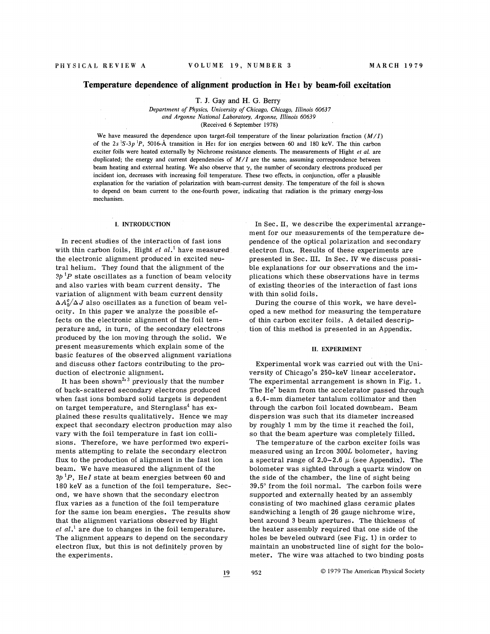## **Temperature dependence of alignment production in He1 by beam-foil excitation**

T. **9.** Gay and **H.** G. Berry

*Department of Physics, University of Chicago, Chicago, ILlinois* 60637 *and Argonne National Laboratory, Argonne, Illinois* 60639 (Received 6 September 1978)

We have measured the dependence upon target-foil temperature of the linear polarization fraction *(M/I)* of the  $2s$   $S-3p$  <sup>1</sup>P, 5016-A transition in He<sub>1</sub> for ion energies between 60 and 180 keV. The thin carbon exciter foils were heated externally by Nichrome resistance elements. The measurements of Hight *et al.* are duplicated; the energy and current dependencies of  $M/I$  are the same; assuming correspondence between beam heating and external heating. We also observe that  $\gamma$ , the number of secondary electrons produced per incident ion, decreases with increasing foil temperature. These two effects, in conjunction, offer a plausible explanation for the variation of polarization with beam-current density. The temperature of the foil is shown to depend on beam current to the one-fourth power, indicating that radiation is the primary energy-loss mechanism.

## **I. INTRODUCTION**

In recent studies of the interaction of fast ions with thin carbon foils, Hight *et al.*<sup>1</sup> have measured the electronic alignment produced in excited neutral helium. They found that the alignment of the  $3p<sup>1</sup>P$  state oscillates as a function of beam velocity and also varies with beam current density. The variation of alignment with beam current density  $\Delta A_0^c/\Delta J$  also oscillates as a function of beam velocity. In this paper we analyze the possible effects on the electronic alignment of the foil temperature and, in turn, of the secondary electrons produced by the ion moving through the solid. We present measurements which explain some of the basic features of the observed alignment variations and discuss other factors contributing to the produc tion of electronic alignment.

It has been shown<sup>2, 3</sup> previously that the number of back-scattered secondary electrons produced when fast ions bombard solid targets is dependent on target temperature, and  $Sternglass<sup>4</sup>$  has explained these results qualitatively. Hence we may expect that secondary electron production may also vary with the foil temperature in fast ion collisions. Therefore, we have performed two experiments attempting to relate the secondary electron flux to the production of alignment in the fast ion beam. We have measured the alignment of the  $3p^{1}P$ , He*I* state at beam energies between 60 and 180 keV as a function of the foil temperature. Second, we have shown that the secondary electron flux varies as a function of the foil temperature for the same ion beam energies. The results show that the alignment variations observed by Hight *et al.'* are due to changes in the foil temperature. The alignment appears to depend on the secondary electron flux, but this is not definitely proven by the experiments.

In Sec. 11, we describe the experimental arrangement for our measurements of the temperature dependence of the optical polarization and secondary electron flux. Results of these experiments are presented in Sec. III. In Sec. IV we discuss possible explanations for our observations and the implications which these observations have in terms of existing theories of the interaction of fast ions with thin solid foils.

During the course of this work, we have developed a new method for measuring the temperature of thin carbon exciter foils. **A** detailed description of this method is presented in an Appendix.

## **11. EXPERLMENT**

Experimental work was carried out with the University of Chicago's 250-keV linear accelerator. The experimental arrangement is shown in Fig. 1. The He' beam from the accelerator passed through a 6.4-mm diameter tantalum collimator and then through the carbon foil located downbeam. Beam dispersion was such that its diameter increased by roughly 1 mm by the time it reached the foil, so that the beam aperture was completely 'filled.

The temperature of the carbon exciter foils was measured using an Ircon 300L bolometer, having a spectral range of 2.0-2.6  $\mu$  (see Appendix). The bolometer was sighted through a quartz window on the side of the chamber, the line of sight being 39.5" from the foil normal. The carbon foils were supported and externally heated by an assembly consisting of two machined glass ceramic plates sandwiching a length of 26 gauge nichrome wire, bent around **3** beam apertures. The thickness of the heater assembly required that one side of the holes be beveled outward (see Fig. 1) in order to maintain an unobstructed line of sight for the bolometer. The wire was attached to two binding posts

- **19 95** *2* O 1979 The American Physical Society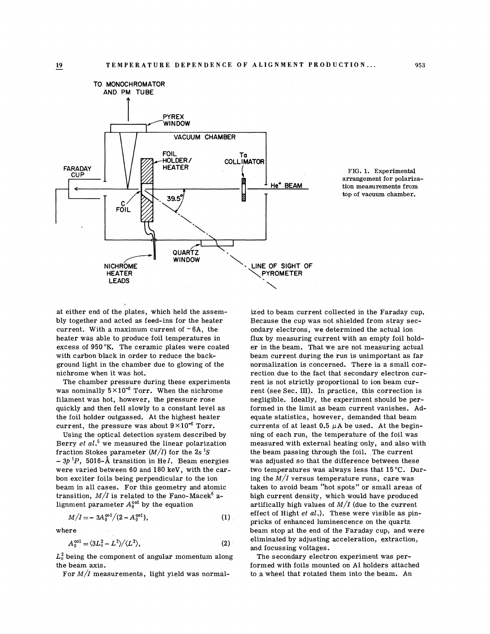



at either end of the plates, which held the assembly together and acted as feed-ins for the heater current. With a maximum current of  $~6A$ , the heater was able to produce foil temperatures in excess of 950°K. The ceramic plates were coated with carbon black in order to reduce the background light in the chamber due to glowing of the nichrome when it was hot.

The chamber pressure during these experiments was nominally  $5 \times 10^{-6}$  Torr. When the nichrome filament was hot, however, the pressure rose quickly and then fell slowly to a constant level as the foil holder outgassed. At the highest heater current, the pressure was about  $9 \times 10^{-6}$  Torr.

Using the optical detection system described by Berry et  $al$ <sup>5</sup> we measured the linear polarization fraction Stokes parameter  $(M/I)$  for the 2s<sup>1</sup>S  $-3p^{1}P$ , 5016-Å transition in He*I*. Beam energies were varied between 60 and 180 keV, with the carbon exciter foils being perpendicular to the ion beam in all cases. For this geometry and atomic transition,  $M/I$  is related to the Fano-Macek<sup>6</sup> alignment parameter  $A_0^{\text{col}}$  by the equation

$$
M/I = -3A_0^{\infty 1}/(2 - A_0^{\infty 1}), \qquad (1)
$$

where

$$
A_0^{\text{col}} = \langle 3L_{\text{II}}^2 - L^2 \rangle / \langle L^2 \rangle, \tag{2}
$$

 $L^2_{\rm u}$  being the component of angular momentum along the beam axis.

For  $M/I$  measurements, light yield was normal-

ized to beam current collected in the Faraday cup. Because the cup was not shielded from stray secondary electrons, we determined the actual ion flux by measuring current with an empty foil holder in the beam. That we are not measuring actual beam current during the run is unimportant as far normalization is concerned. There is a small correction due to the fact that secondary electron current is not strictly proportional to ion beam current (see Sec. III). In practice, this correction is negligible. Ideally, the experiment should be performed in the limit as beam current vanishes. Adequate statistics, however, demanded that beam currents of at least  $0.5 \mu A$  be used. At the beginning of each run, the temperature of the foil was measured with external heating only, and also with the beam passing through the foil. The current was adjusted so that the difference between these two temperatures was always less that 15°C. During the  $M/I$  versus temperature runs, care was taken to avoid beam "hot spots" or small areas of high current density, which would have produced artifically high values of  $M/I$  (due to the current effect of Hight *et* al.). These were visible as pinpricks of enhanced luminescence on the quartz beam stop at the end of the Faraday cup, and were eliminated by adjusting acceleration, extraction, and focussing voltages.

The secondary electron experiment was performed with foils mounted on A1 holders attached to a wheel that rotated them into the beam. An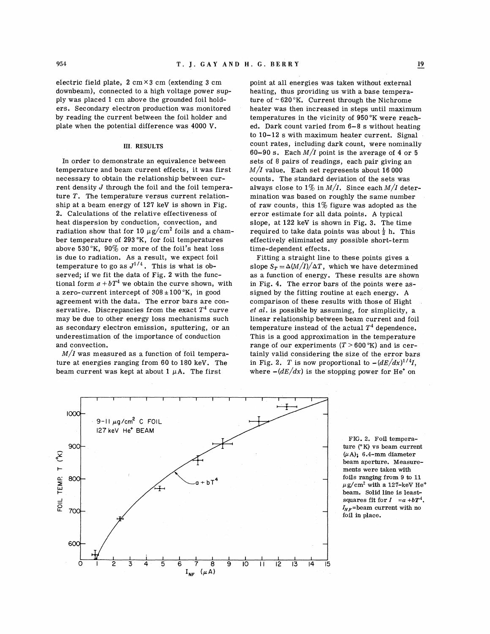electric field plate,  $2 \text{ cm} \times 3 \text{ cm}$  (extending 3 cm downbeam), connected to a high voltage power supply was placed 1 cm above the grounded foil holders. Secondary electron production was monitored by reading the current between the foil holder and plate when the potential difference was 4000 V.

#### **111. RESULTS**

In order to demonstrate an equivalence between temperature and beam current effects, it was first necessary to obtain the relationship between current density *J* through the foil and the foil temperature T. The temperature versus current relationship at a beam energy of 127 keV is shown in Fig. 2. Calculations of the relative effectiveness of heat dispersion by conduction, convection, and radiation show that for 10  $\mu$ g/cm<sup>2</sup> foils and a chamber temperature of 293°K, for foil temperatures above 530°K, 90% or more of the foil's heat loss is due to radiation. As a result, we expect foil temperature to go as  $J^{1/4}$ . This is what is observed; if we fit the data of Fig. 2 with the functional form  $a + bT^4$  we obtain the curve shown, with a zero-current intercept of  $308 \pm 100$  °K, in good agreement with the data. The error bars are conservative. Discrepancies from the exact  $T<sup>4</sup>$  curve may be due to other energy loss mechanisms such as secondary electron emission, sputtering, or an underestimation of the importance of conduction and convection.

 $M/I$  was measured as a function of foil temperature at energies ranging from 60 to 180 keV. The beam current was kept at about  $1 \mu A$ . The first

point at all energies was taken without external heating, thus providing us with a base temperature of  $\sim 620$  K. Current through the Nichrome heater was then increased in steps until maximum temperatures in the vicinity of  $950\,^{\circ}\text{K}$  were reached. Dark count varied from 6-8 s without heating to 10-12 s with maximum heater current. Signal count rates, including dark count, were nominally 60-90 s. Each  $M/I$  point is the average of 4 or 5 sets of 8 pairs of readings, each pair giving an *M/Z* value. Each set represents about 16 000 counts. The standard deviation of the sets was always close to  $1\%$  in  $M/I$ . Since each  $M/I$  determination was based on roughly the same number of raw counts, this  $1\%$  figure was adopted as the error estimate for all data points. **A** typical slope, at 122 keV is shown in Fig. **3.** The time required to take data points was about  $\frac{1}{2}$  h. This effectively eliminated any possible short-term time-dependent effects.

Fitting a straight line to these points gives a slope  $S_T = \Delta(M/I)/\Delta T$ , which we have determined as a function of energy. These results are shown in Fig. 4. The error bars of the points were assigned by the fitting routine at each energy. **A**  comparison of these results with those of Hight *et al.* is possible by assuming, for simplicity, a linear relationship between beam current and foil temperature instead of the actual  $T<sup>4</sup>$  dependence. This is a good approximation in the temperature range of our experiments  $(T > 600 \text{°K})$  and is certainly valid considering the size of the error bars in Fig. 2. T is now proportional to  $-(dE/dx)^{1/4}I$ , where  $-(dE/dx)$  is the stopping power for He<sup>\*</sup> on



FIG. 2. Foil temperature (" K) vs beam current  $(\mu A)$ ; 6.4-mm diameter beam aperture. Measurements were taken with foils ranging from 9 to 11  $\mu$ g/cm<sup>2</sup> with a 127-keV He<sup>+</sup> beam. Solid line is leastsquares fit for  $I = a + bT^4$ .  $I_{NF}$ =beam current with no foil in place.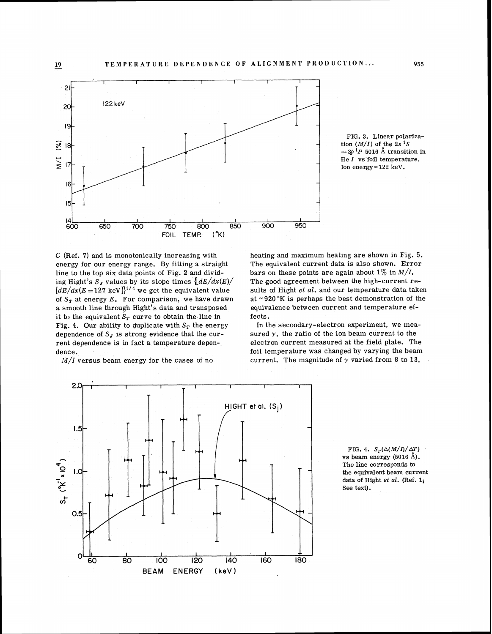

C (Ref. **7)** and is monotonically increasing with energy for our energy range. By fitting a straight line to the top six data points of Fig. 2 and dividing Hight's  $S_J$  values by its slope times  $\left\lfloor dE/dx(E)/\right\rfloor$  $[dE/dx(E=127 \text{ keV}]]^{1/4}$  we get the equivalent value of  $S_T$  at energy  $E$ . For comparison, we have drawn a smooth line through Hight's data and transposed it to the equivalent  $S_T$  curve to obtain the line in Fig. 4. Our ability to duplicate with  $S_T$  the energy dependence of  $S_J$  is strong evidence that the current dependence is in fact a temperature dependence.

 $M/I$  versus beam energy for the cases of no

FIG. **3.** Linear polariza- $\frac{1}{2}$  (*M/I*) of the 2s<sup>1</sup>S  $-$  3p<sup>1</sup>P 5016 Å transition in He I vs'foil temperature. Ion energy = **122** keV.

heating and maximum heating are shown in Fig. 5. The equivalent current data is also shown. Error bars on these points are again about  $1\%$  in  $M/I$ . The good agreement between the high-current results of Hight *et* al. and our temperature data taken at  $\sim$  920 °K is perhaps the best demonstration of the equivalence between current and temperature effects.

In the secondary-electron experiment, we measured  $\gamma$ , the ratio of the ion beam current to the electron current measured at the field plate. The foil temperature was changed by varying the beam current. The magnitude of  $\gamma$  varied from 8 to 13,



FIG. 4.  $S_T(\Delta(M/I)/\Delta T)$ vs beam energy **(5016 A).**  The line corresponds to the equivalent beam current data of Hight *et al.* (Ref. 1; See text).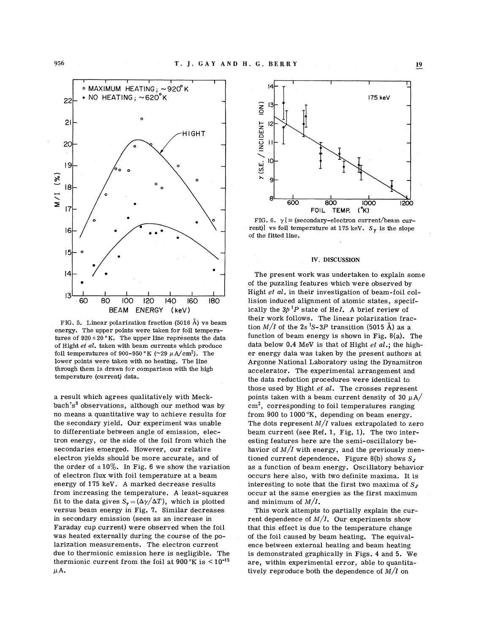

FIG. 5. Linear polarization fraction (5016 A) vs beam energy. The upper points were taken for foil temperatures of  $920 \pm 20$  °K. The upper line represents the data of Hight *et al.* taken with beam currents which produce foil temperatures of 900-950 °K (~29  $\mu$ A/cm<sup>2</sup>). The lower points were taken with no heating. The line through them is drawn for comparison with the high temperature (current) data.

a result which agrees qualitatively with Meck $bach's<sup>8</sup>$  observations, although our method was by no means a quantitative way to achieve results for the secondary yield. Our experiment was unable to differentiate between angle of emission, electron energy, or the side of the foil from which the secondaries emerged. However, our relative electron yields should be more accurate, and of the order of  $\pm 10\%$ . In Fig. 6 we show the variation of electron flux with foil temperature at a beam energy of 175 keV. A marked decrease results from increasing the temperature. A least-squares fit to the data gives  $S_{\gamma} = (\Delta \gamma / \Delta T)$ , which is plotted versus beam energy in Fig. 7. Similar decreases in secondary emission (seen as an increase in Faraday cup current) were observed when the foil was heated externally during the course of the polarization measurements. The electron current due to thermionic emission here is negligible. The thermionic current from the foil at  $900\,^{\circ}\text{K}$  is  $\leq 10^{-15}$  $\mu$ A.



FIG. 6.  $\gamma$  [ = (secondary-electron current/beam current)] vs foil temperature at 175 keV.  $S_{\gamma}$  is the slope of the fitted line.

#### **IV. DISCUSSION**

1. J. G. 4 V. A B II. G. B NATA Y<br>
SACCHER HERCHIG;  $-\frac{\cos \theta}{\cos \theta}$  is the second of the second of the second of the second of the second of the second of the second of the second of the second of the second of the secon The present work was undertaken to explain some of the puzzling features which were observed by Hight *et al.* in their investigation of beam-foil collision induced alignment of atomic states, specifically the  $3p^{1}P$  state of HeI. A brief review of their work follows. The linear polarization fraction  $M/I$  of the  $2s<sup>1</sup>S-3P$  transition (5015 Å) as a function of beam energy is shown in Fig. 8(a). The data below 0.4 MeV is that of Hight *et al.;* the higher energy data was taken by the present authors at Argonne National Laboratory using the Dynamitron accelerator. The experimental arrangement and the data reduction procedures were identical to those used by Hight *et al.* The crosses represent points taken with a beam current density of 30  $\mu$ A/  $cm<sup>2</sup>$ , corresponding to foil temperatures ranging from 900 to 1000°K, depending on beam energy. The dots represent  $M/I$  values extrapolated to zero beam current (see Ref. 1, Fig. 1). The two interesting features here are the semi-oscillatory behavior of  $M/I$  with energy, and the previously mentioned current dependence. Figure 8(b) shows  $S_J$ as a function of beam energy. Oscillatory behavior occurs here also, with two definite maxima. It is interesting to note that the first two maxima of  $S_J$ occur at the same energies as the first maximum and minimum of  $M/I$ .

This work attempts to partially explain the current dependence of  $M/I$ . Our experiments show that this effect is due to the temperature change of the foil caused by beam heating. The equivalence between external heating and beam heating is demonstrated graphically in Figs. 4 and 5. We are, within experimental error, able to quantitatively reproduce both the dependence of  $M/I$  on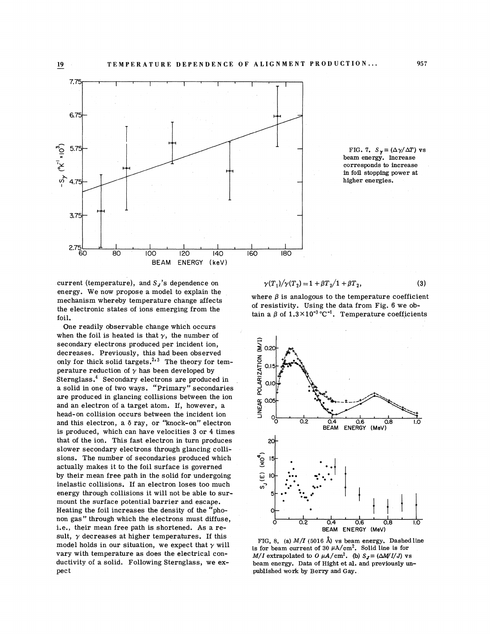

current (temperature), and  $S_J$ 's dependence on  $\gamma(T_1)/\gamma(T_2) = 1 + \beta T_2/1 + \beta T_2$ , (3) energy. We now propose a model to explain the energy. We now propose a moder to explain the where  $\beta$  is analogous to the temperature coefficient<br>mechanism where by temperature change affects of resistivity. Using the data from Fig. 6 we obthe electronic states of ions emerging from the tain a  $\beta$  of  $1.3 \times 10^{-3}$  °C<sup>-1</sup>. Temperature coefficients foil.

One readily observable change which occurs when the foil is heated is that  $\gamma$ , the number of secondary electrons produced per incident ion, decreases. Previously, this had been observed only for thick solid targets.<sup>2,3</sup> The theory for temperature reduction of  $\gamma$  has been developed by Sternglass.<sup>4</sup> Secondary electrons are produced in a solid in one of two ways. "Primary" secondaries are produced in glancing collisions between the ion and an electron of a target atom. If, however, a head-on collision occurs between the incident ion and this electron, a  $\delta$  ray, or "knock-on" electron and this electron, a  $\delta$  ray, or "knock-on" electron<br>is produced, which can have velocities 3 or 4 times BEAM ENERGY (MeV) sult,  $\gamma$  decreases at higher temperatures. If this<br>model holds in our situation, we expect that  $\gamma$  will<br>vary with temperature as does the electrical con-<br> $M/I$  extrapolated to  $0 \mu A/cm^2$ . Solid line is for<br> $M/I$  extrapol vary with temperature as does the electrical con-<br> $M/I$  extrapolated to  $0 \mu A/cm^2$ . (b)  $S_J \equiv (\Delta M/I/J)$  vs<br>ductivity of a solid. Following Sternglass, we ex-<br>beam energy. Data of Hight et al. and previously unthat of the ion. This fast electron in turn produces 20 slower secondary electrons through glancing colli-<br>sions. The number of secondaries produced which<br>actually makes it to the foil surface is governed sions. The number of secondaries produced which actually makes it to the foil surface is governed<br>by their mean free path in the solid for undergoing  $\frac{1}{\omega}$ by their mean free path in the solid for undergoing inelastic collisions. If an electron loses too much  $\frac{1}{\sigma}$ inelastic collisions. If an electron loses too much energy through collisions it will not be able to surmount the surface potential barrier and escape. Heating the foil increases the density of the "phonon gas" through which the electrons must diffuse, pect published work by Berry and Gay. i.e., their mean free path is shortened. As a re-<br>i.e., their mean free path is shortened. As a re-<br>BEAM ENERGY (MeV)

$$
(\mathcal{P}^1) / (\mathcal{P}^2) = 1 + 2\mathcal{P}^1 / (1 + 2\mathcal{P}^2)
$$
 (9)



FIG. 7.  $S_{\gamma} = (\Delta \gamma / \Delta T)$  vs beam energy. Increase corresponds to increase in foil stopping power at higher energies.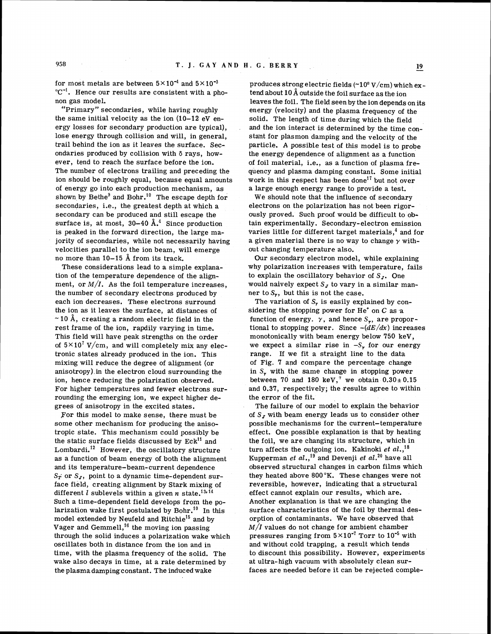for most metals are between  $5 \times 10^{-4}$  and  $5 \times 10^{-3}$ *"c-'.* Hence our results are consistent with a phonon gas model.

"Primary" secondaries, while having roughly the same initial velocity as the ion  $(10-12 \text{ eV} \text{ en}$ ergy losses for secondary production are typical), lose energy through collision and will, in general, trail behind the ion as it leaves the surface. Secondaries produced by collision with  $\delta$  rays, however, tend to reach the surface before the ion. The number of electrons trailing and preceding the ion should be roughly equal, because equal amounts of energy go into each production mechanism, as shown by Bethe<sup>9</sup> and Bohr.<sup>10</sup> The escape depth for secondaries, i.e., the greatest depth at which a secondary can be produced and still escape the surface is, at most,  $30-40$   $\AA$ .<sup>4</sup> Since production is peaked in the forward direction, the large majority of secondaries, while not necessarily having velocities parallel to the ion beam, will emerge no more than 10-15 **A** from its track.

These considerations lead to a simple explanation of the temperature dependence of the alignment, or  $M/I$ . As the foil temperature increases, the number of secondary electrons produced by each ion decreases. These electrons surround the ion as it leaves the surface, at distances of  $\sim$  10 Å, creating a random electric field in the rest frame of the ion, rapdily varying in time. This field will have peak strengths on the order of  $5 \times 10^7$  V/cm, and will completely mix any electronic states already produced in the ion. This mixing will reduce the degree of alignment (or anisotropy).in the electron cloud surrounding the ion, hence reducing the polarization observed. For higher temperatures and fewer electrons surrounding the emerging ion, we expect higher degrees of anisotropy in the excited states.

For this model to make sense, there must be some other mechanism for producing the anisotropic state. This mechanism could possibly be the static surface fields discussed by  $Eck<sup>11</sup>$  and Lombardi.<sup>12</sup> However, the oscillatory structure as a function of beam energy of both the alignment and its temperature-beam-current dependence  $S_T$  or  $S_J$ , point to a dynamic time-dependent surface field, creating alignment by Stark mixing of different  $l$  sublevels within a given  $n$  state.<sup>13,14</sup> Such a time-dependent field develops from the polarization wake first postulated by  $Bohr.<sup>10</sup>$  In this model extended by Neufeld and Ritchie<sup>15</sup> and by Vager and Gemmell,<sup>16</sup> the moving ion passing through the solid induces a polarization wake which oscillates both in distance from the ion and in time, with the plasma frequency of the solid. The wake also decays in time, at a rate determined by the plasma damping constant. The induced wake

produces strong electric fields  $(\sim 10^8$  V/cm) which extend about  $10 \text{\AA}$  outside the foil surface as the ion leaves the foil. The field seen by the ion depends on its energy (velocity) and the plasma frequency of the solid. The length of time during which the field and the ion interact is determined by the time constant for plasmon damping and the velocity of the particle. A possible test of this model is to probe the energy dependence of alignment as a function of foil material, i.e., as a function of plasma frequency and plasma damping constant. Some initial work in this respect has been done<sup>17</sup> but not over a large enough energy range to provide a test.

We should note that the influence of secondary electrons on the polarization has not been rigorously proved. Such proof would be difficult to obtain experimentally. Secondary- electron emission varies little for different target materials,<sup>4</sup> and for a given material there is no way to change *y* without changing temperature also.

Our secondary electron model, while explaining why polarization increases with temperature, fails to explain the oscillatory behavior of  $S_J$ . One would naively expect  $S_J$  to vary in a similar manner to  $S_{\gamma}$ , but this is not the case.

The variation of  $S_r$  is easily explained by considering the stopping power for He' on C as **,a**  function of energy.  $\gamma$ , and hence  $S_{\gamma}$ , are proportional to stopping power. Since  $-(dE/dx)$  increases monotonically with beam energy below 750 keV, we expect a similar rise in  $-S_r$ , for our energy range. If we fit a straight line to the data of Fig. **7** and compare the percentage change in S, with the same change in stopping power between 70 and 180 keV,<sup>7</sup> we obtain  $0.30 \pm 0.15$ and 0.37, respectively; the results agree to within the error of the fit.

The failure of our model to explain the behavior of *S,* with beam energy leads us to consider other possible mechanisms for the current-temperature effect. One possible explanation is that by heating the foil, we are changing its structure, which in turn affects the outgoing ion. Kakinoki *et al.*,<sup>18</sup> Kupperman *et al.*,<sup>19</sup> and Devenji *et al.*<sup>20</sup> have all observed structural changes in carbon films which they heated above 800°K. These changes were not reversible, however, indicating that a structural effect cannot explain our results, which are. Another explanation is that we are changing the surface characteristics of the foil by thermal desorption of contaminants. We have observed that  $M/I$  values do not change for ambient chamber pressures ranging from  $5 \times 10^{-7}$  Torr to  $10^{-5}$  with and without cold trapping, a result which tends to discount this possibility. However, experiments at ultra-high vacuum with absolutely clean surfaces are needed before it can be rejected comple-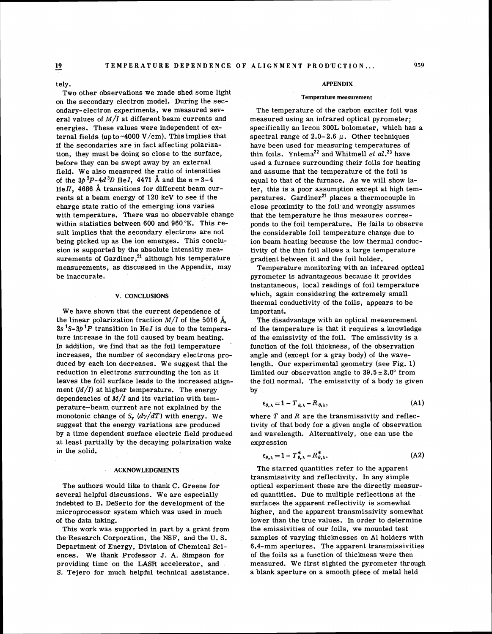tely.

Two other observations we made shed some light on the secondary electron model. During the secondary-electron experiments, we measured several values of *M/I* at different beam currents and energies. These values were independent of external fields (up to ~4000 V/cm). This implies that if the secondaries are in fact affecting polarization, they must be doing so close to the surface, before they can be swept away by an external field. We also measured the ratio of intensities of the  $3b^{3}P-4d^{3}D$  Hel, 4471 Å and the  $n=3-4$ HeII. 4686  $\AA$  transitions for different beam currents at a beam energy of 120 keV to see if the charge state ratio of the emerging ions varies with temperature, There was no observable change within statistics between 600 and 960°K. This result implies that the secondary electrons are not being picked up as the ion emerges. This conclusion is supported by the absolute intensitiy measurements of Gardiner,<sup>21</sup> although his temperature measurements, as discussed in the Appendix, may be inaccurate.

### **V. CONCLUSIONS**

We have shown that the current dependence of the linear polarization fraction  $M/I$  of the 5016  $\AA$  $2s<sup>1</sup>S-3p<sup>1</sup>P$  transition in He*I* is due to the temperature increase in the foil caused by beam heating. In addition, we find that as the foil temperature increases, the number of secondary electrons produced by each ion decreases. We suggest that the reduction in electrons surrounding the ion as it leaves the foil surface leads to the increased alignment  $(M/I)$  at higher temperature. The energy dependencies of  $M/I$  and its variation with temperature-beam current are not explained by the monotonic change of  $S_r$   $(d\gamma/dT)$  with energy. We suggest that the energy variations are produced by a time dependent surface electric field produced at least partially by the decaying polarization wake in the solid.

#### **ACKNOWLEDGMENTS**

The authors would like to thank C. Greene for several helpful discussions. We are especially indebted to B. DeSerio for the development of the microprocessor system which was used in much of the data taking.

This work was supported in part by a grant from the Research Corporation, the NSF, and the U. S. Department of Energy, Division of Chemical Sciences. We thank Professor J. A. Simpson for providing time on the LASR accelerator, and S. Tejero for much helpful technical assistance.

#### **APPENDIX**

#### **Temperature measurement**

The temperature of the carbon exciter foil was measured using an infrared optical pyrometer; specifically an Ircon 300L bolometer, which has a spectral range of 2.0-2.6  $\mu$ . Other techniques have been used for measuring temperatures of thin foils. Yntema<sup>22</sup> and Whitmell *et al.*<sup>23</sup> have used a furnace surrounding their foils for heating and assume that the temperature of the foil is equal to that of the furnace. As we will show later, this is a poor assumption except at high temperatures.  $Gardiner<sup>21</sup> places a thermocouple in$ close proximity to the foil and wrongly assumes that the temperature he thus measures corresponds to the foil temperature. He fails to observe the considerable foil temperature change due to ion beam heating because the low thermal conductivity of the thin foil allows a large temperature gradient between it and the foil holder.

Temperature monitoring with an infrared optical pyrometer is advantageous because it provides instantaneous, local readings of foil temperature which, again considering the extremely small thermal conductivity of the foils, appears to be important.

The disadvantage with an optical measurement of the temperature is that it requires a knowledge of the emissivity of the foil. The emissivity is a function of the foil thickness, of the observation angle and (except for a gray body) of the wavelength. Our experimental geometry (see Fig. 1) limited our observation angle to  $39.5 \pm 2.0^{\circ}$  from the foil normal. The emissivity of a body is given by

$$
\epsilon_{\theta,\lambda} = 1 - T_{\theta,\lambda} - R_{\theta,\lambda},\tag{A1}
$$

where  $T$  and  $R$  are the transmissivity and reflectivity of that body for a given angle of observation and wavelength. Alternatively, one can use the expression

$$
\epsilon_{\theta,\lambda} = 1 - T_{\theta,\lambda}^* - R_{\theta,\lambda}^* \tag{A2}
$$

The starred quantities refer to the apparent transmissivity and reflectivity. In any simple optical experiment these are the directly measured quantities. Due to multiple reflections at the surfaces the apparent reflectivity is somewhat higher, and the apparent transmissivity somewhat lower than the true values. In order to determine the emissivities of our foils, we mounted test samples of varying thicknesses on A1 holders with 6.4-mm apertures. The apparent transmissivities of the foils **as** a function of thickness were then measured. We first sighted the pyrometer through a blank aperture on a smooth piece of metal held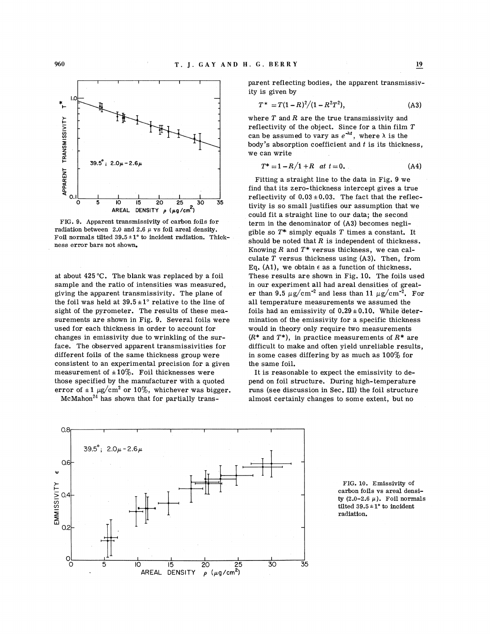

FIG. 9. Apparent transmissivity of carbon foils for term in the denominator of (A3) becomes negli-<br>radiation between 2.0 and 2.6  $\mu$  vs foil areal density.<br>Foil normals tilted 39.5 ± 1° to incident radiation. Thickness error bars not shown.  $\frac{1}{100}$  should be noted that R is independent of thickness.

at about 425 **"C.** The blank was replaced by a foil sample and the ratio of intensities was measured, giving the apparent transmissivity. The plane of the foil was held at  $39.5 \pm 1^\circ$  relative to the line of sight of the pyrometer. The results of these measurements are shown in Fig. 9. Several foils were used for each thickness in order to account for changes in emissivity due to wrinkling of the surface. The observed apparent transmissivities for different foils of the same thickness group were consistent to an experimental precision for a given measurement of  $\pm 10\%$ . Foil thicknesses were those specified by the manufacturer with a quoted error of  $\pm 1 \mu$ g/cm<sup>2</sup> or 10%, whichever was bigger.

 $McMahon<sup>24</sup>$  has shown that for partially trans-

parent reflecting bodies, the apparent transmissivity is given by

$$
T^* = T(1 - R)^2/(1 - R^2T^2), \tag{A3}
$$

where  $T$  and  $R$  are the true transmissivity and reflectivity of the object. Since for a thin film  $T$ can be assumed to vary as  $e^{-\lambda t}$ , where  $\lambda$  is the body's absorption coefficient and  $t$  is its thickness, we can write

$$
T^* = 1 - R/1 + R \quad at \ t = 0. \tag{A4}
$$

I Fitting a straight line to the data in Fig. 9 we find that its zero-thickness intercept gives a true **<sup>a</sup>0.11 I I I I I I** I reflectivity of 0.03 i0.03. The fact that the reflec-**<sup>2</sup>**tivity is so small justifies our assumption that we **AREAL DENSITY p (pg/cm** ) could fit a straight line to our data; the second Knowing  $R$  and  $T^*$  versus thickness, we can calculate  $T$  versus thickness using  $(A3)$ . Then, from Eq.  $(A1)$ , we obtain  $\epsilon$  as a function of thickness. These results are shown in Fig. 10. The foils used in our experiment all had areal densities of greater than 9.5  $\mu$ g/cm<sup>-2</sup> and less than 11  $\mu$ g/cm<sup>-2</sup>. For all temperature measurements we assumed the foils had an emissivity of  $0.29 \pm 0.10$ . While determination of the emissivity for a specific thickness would in theory only require two measurements  $(R^*$  and  $T^*$ ), in practice measurements of  $R^*$  are difficult to make and often yield unreliable results, in some cases differing by as much as  $100\%$  for the same foil.

> It is reasonable to expect the emissivity to depend on foil structure. During high-temperature runs (see discussion in Sec. 111) the foil structure almost certainly changes to some extent, but no



FIG. 10. Emissivity of carbon foils vs areal density  $(2.0-2.6 \mu)$ . Foil normals tilted  $39.5 \pm 1^{\circ}$  to incident radiation.